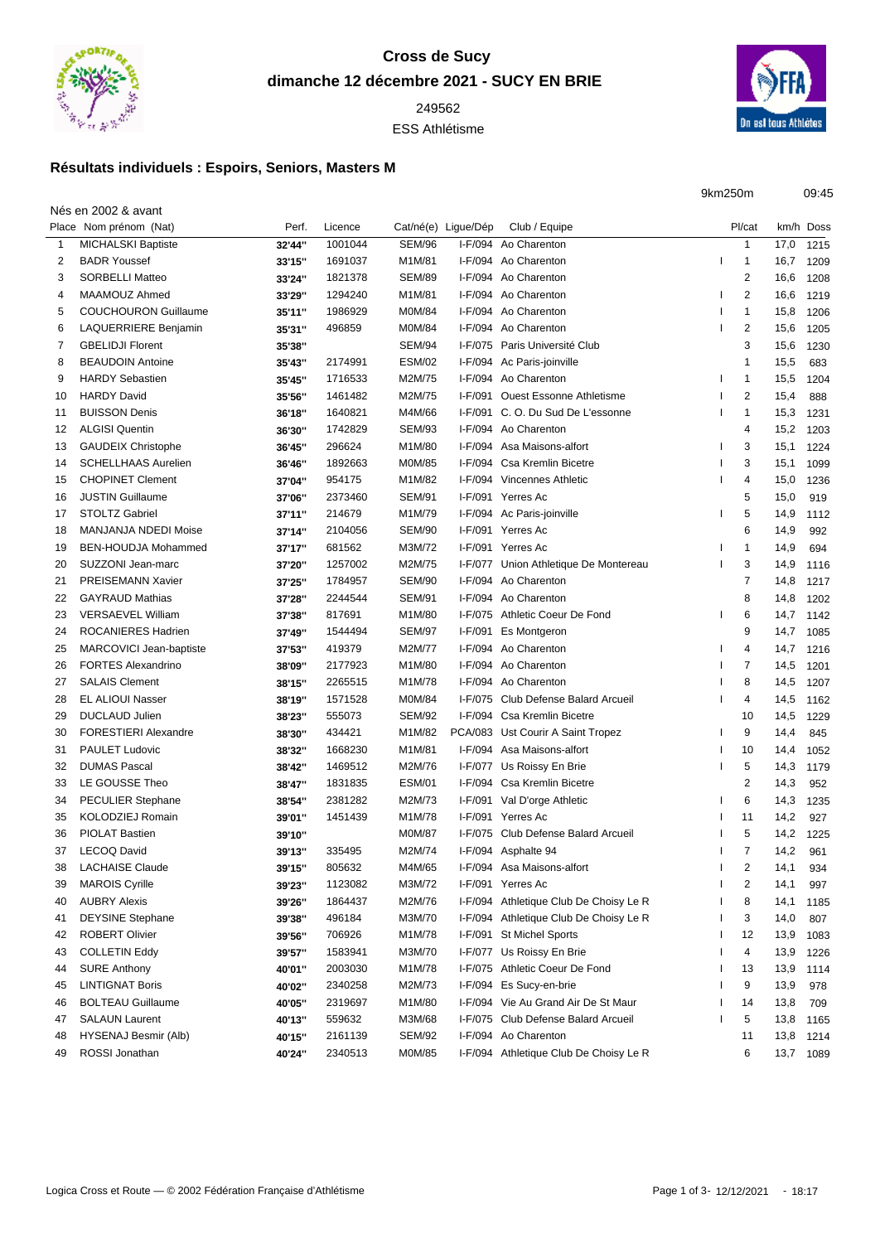

## **Cross de Sucy dimanche 12 décembre 2021 - SUCY EN BRIE**

ESS Athlétisme



9km250m 09:45

## **Résultats individuels : Espoirs, Seniors, Masters M**

Nés en 2002 & avant

 $\overline{a}$ 

|    | Place Nom prénom (Nat)      | Perf.  | Licence |               | Cat/né(e) Ligue/Dép | Club / Equipe                          | Pl/cat         |           | km/h Doss |
|----|-----------------------------|--------|---------|---------------|---------------------|----------------------------------------|----------------|-----------|-----------|
|    | <b>MICHALSKI Baptiste</b>   | 32'44" | 1001044 | <b>SEM/96</b> | I-F/094             | Ao Charenton                           | $\mathbf{1}$   | 17,0      | 1215      |
| 2  | <b>BADR Youssef</b>         | 33'15" | 1691037 | M1M/81        |                     | I-F/094 Ao Charenton                   | $\mathbf{1}$   | 16,7      | 1209      |
| 3  | <b>SORBELLI Matteo</b>      | 33'24" | 1821378 | <b>SEM/89</b> |                     | I-F/094 Ao Charenton                   | $\overline{2}$ | 16,6      | 1208      |
| 4  | MAAMOUZ Ahmed               | 33'29" | 1294240 | M1M/81        |                     | I-F/094 Ao Charenton                   | $\overline{2}$ | 16,6      | 1219      |
| 5  | <b>COUCHOURON Guillaume</b> | 35'11" | 1986929 | M0M/84        |                     | I-F/094 Ao Charenton                   | $\overline{1}$ | 15,8      | 1206      |
| 6  | <b>LAQUERRIERE Benjamin</b> | 35'31" | 496859  | M0M/84        |                     | I-F/094 Ao Charenton                   | $\overline{2}$ | 15,6      | 1205      |
| 7  | <b>GBELIDJI Florent</b>     | 35'38" |         | SEM/94        |                     | I-F/075 Paris Université Club          | 3              | 15,6      | 1230      |
| 8  | <b>BEAUDOIN Antoine</b>     | 35'43" | 2174991 | <b>ESM/02</b> |                     | I-F/094 Ac Paris-joinville             | $\mathbf 1$    | 15,5      | 683       |
| 9  | <b>HARDY Sebastien</b>      | 35'45" | 1716533 | M2M/75        |                     | I-F/094 Ao Charenton                   | $\mathbf{1}$   | 15,5      | 1204      |
| 10 | <b>HARDY David</b>          | 35'56" | 1461482 | M2M/75        | I-F/091             | <b>Ouest Essonne Athletisme</b>        | $\overline{2}$ | 15,4      | 888       |
| 11 | <b>BUISSON Denis</b>        | 36'18" | 1640821 | M4M/66        | I-F/091             | C. O. Du Sud De L'essonne              | $\mathbf 1$    | 15,3      | 1231      |
| 12 | <b>ALGISI Quentin</b>       | 36'30" | 1742829 | <b>SEM/93</b> |                     | I-F/094 Ao Charenton                   | 4              | 15,2      | 1203      |
| 13 | <b>GAUDEIX Christophe</b>   | 36'45" | 296624  | M1M/80        |                     | I-F/094 Asa Maisons-alfort             | 3              | 15,1      | 1224      |
| 14 | <b>SCHELLHAAS Aurelien</b>  | 36'46" | 1892663 | M0M/85        |                     | I-F/094 Csa Kremlin Bicetre            | 3              | 15,1      | 1099      |
| 15 | <b>CHOPINET Clement</b>     | 37'04" | 954175  | M1M/82        |                     | I-F/094 Vincennes Athletic             | 4              | 15,0      | 1236      |
| 16 | <b>JUSTIN Guillaume</b>     | 37'06" | 2373460 | <b>SEM/91</b> |                     | I-F/091 Yerres Ac                      | 5              | 15,0      | 919       |
| 17 | <b>STOLTZ Gabriel</b>       | 37'11" | 214679  | M1M/79        |                     | I-F/094 Ac Paris-joinville             | 5              | 14,9      | 1112      |
| 18 | <b>MANJANJA NDEDI Moise</b> | 37'14" | 2104056 | <b>SEM/90</b> |                     | I-F/091 Yerres Ac                      | 6              | 14,9      | 992       |
| 19 | BEN-HOUDJA Mohammed         | 37'17" | 681562  | M3M/72        |                     | I-F/091 Yerres Ac                      | $\mathbf{1}$   | 14,9      | 694       |
| 20 | SUZZONI Jean-marc           | 37'20" | 1257002 | M2M/75        |                     | I-F/077 Union Athletique De Montereau  | 3              | 14,9      | 1116      |
| 21 | <b>PREISEMANN Xavier</b>    | 37'25" | 1784957 | <b>SEM/90</b> |                     | I-F/094 Ao Charenton                   | $\overline{7}$ | 14,8      | 1217      |
| 22 | <b>GAYRAUD Mathias</b>      | 37'28" | 2244544 | <b>SEM/91</b> |                     | I-F/094 Ao Charenton                   | 8              | 14,8      | 1202      |
| 23 | <b>VERSAEVEL William</b>    | 37'38" | 817691  | M1M/80        |                     | I-F/075 Athletic Coeur De Fond         | 6              | 14,7 1142 |           |
| 24 | <b>ROCANIERES Hadrien</b>   | 37'49" | 1544494 | <b>SEM/97</b> |                     | I-F/091 Es Montgeron                   | 9              | 14,7      | 1085      |
| 25 | MARCOVICI Jean-baptiste     | 37'53" | 419379  | M2M/77        |                     | I-F/094 Ao Charenton                   | 4              | 14,7      | 1216      |
| 26 | <b>FORTES Alexandrino</b>   | 38'09" | 2177923 | M1M/80        |                     | I-F/094 Ao Charenton                   | $\overline{7}$ | 14,5      | 1201      |
| 27 | <b>SALAIS Clement</b>       | 38'15" | 2265515 | M1M/78        |                     | I-F/094 Ao Charenton                   | 8              | 14,5      |           |
| 28 | <b>EL ALIOUI Nasser</b>     |        | 1571528 | M0M/84        |                     | I-F/075 Club Defense Balard Arcueil    | 4              | 14,5      | 1207      |
|    |                             | 38'19" |         |               |                     |                                        |                |           | 1162      |
| 29 | <b>DUCLAUD Julien</b>       | 38'23" | 555073  | <b>SEM/92</b> |                     | I-F/094 Csa Kremlin Bicetre            | 10             | 14,5      | 1229      |
| 30 | <b>FORESTIERI Alexandre</b> | 38'30" | 434421  | M1M/82        |                     | PCA/083 Ust Courir A Saint Tropez      | 9              | 14,4      | 845       |
| 31 | PAULET Ludovic              | 38'32" | 1668230 | M1M/81        |                     | I-F/094 Asa Maisons-alfort             | 10             | 14,4      | 1052      |
| 32 | <b>DUMAS Pascal</b>         | 38'42" | 1469512 | M2M/76        |                     | I-F/077 Us Roissy En Brie              | 5              | 14,3      | 1179      |
| 33 | LE GOUSSE Theo              | 38'47" | 1831835 | <b>ESM/01</b> |                     | I-F/094 Csa Kremlin Bicetre            | 2              | 14,3      | 952       |
| 34 | <b>PECULIER Stephane</b>    | 38'54" | 2381282 | M2M/73        |                     | I-F/091 Val D'orge Athletic            | 6              | 14,3      | 1235      |
| 35 | KOLODZIEJ Romain            | 39'01" | 1451439 | M1M/78        | I-F/091             | Yerres Ac                              | 11             | 14,2      | 927       |
| 36 | <b>PIOLAT Bastien</b>       | 39'10" |         | <b>M0M/87</b> | I-F/075             | Club Defense Balard Arcueil            | 5              | 14,2      | 1225      |
| 37 | <b>LECOQ David</b>          | 39'13" | 335495  | M2M/74        |                     | I-F/094 Asphalte 94                    | 7              | 14,2      | 961       |
| 38 | <b>LACHAISE Claude</b>      | 39'15" | 805632  | M4M/65        |                     | I-F/094 Asa Maisons-alfort             | $\overline{2}$ | 14,1      | 934       |
| 39 | <b>MAROIS Cyrille</b>       | 39'23" | 1123082 | M3M/72        |                     | I-F/091 Yerres Ac                      | 2              | 14,1      | 997       |
| 40 | <b>AUBRY Alexis</b>         | 39'26" | 1864437 | M2M/76        |                     | I-F/094 Athletique Club De Choisy Le R | 8              | 14,1      | 1185      |
| 41 | <b>DEYSINE Stephane</b>     | 39'38" | 496184  | M3M/70        |                     | I-F/094 Athletique Club De Choisy Le R | 3              | 14,0      | 807       |
| 42 | <b>ROBERT Olivier</b>       | 39'56" | 706926  | M1M/78        |                     | I-F/091 St Michel Sports               | 12             | 13,9      | 1083      |
| 43 | <b>COLLETIN Eddy</b>        | 39'57" | 1583941 | M3M/70        |                     | I-F/077 Us Roissy En Brie              | 4              | 13,9      | 1226      |
| 44 | <b>SURE Anthony</b>         | 40'01" | 2003030 | M1M/78        |                     | I-F/075 Athletic Coeur De Fond         | 13             | 13,9      | 1114      |
| 45 | <b>LINTIGNAT Boris</b>      | 40'02" | 2340258 | M2M/73        |                     | I-F/094 Es Sucy-en-brie                | 9              | 13,9      | 978       |
| 46 | <b>BOLTEAU Guillaume</b>    | 40'05" | 2319697 | M1M/80        |                     | I-F/094 Vie Au Grand Air De St Maur    | 14             | 13,8      | 709       |
| 47 | <b>SALAUN Laurent</b>       | 40'13" | 559632  | M3M/68        |                     | I-F/075 Club Defense Balard Arcueil    | 5              | 13,8      | 1165      |
| 48 | HYSENAJ Besmir (Alb)        | 40'15" | 2161139 | <b>SEM/92</b> |                     | I-F/094 Ao Charenton                   | 11             | 13,8      | 1214      |
| 49 | ROSSI Jonathan              | 40'24" | 2340513 | M0M/85        |                     | I-F/094 Athletique Club De Choisy Le R | 6              | 13,7 1089 |           |
|    |                             |        |         |               |                     |                                        |                |           |           |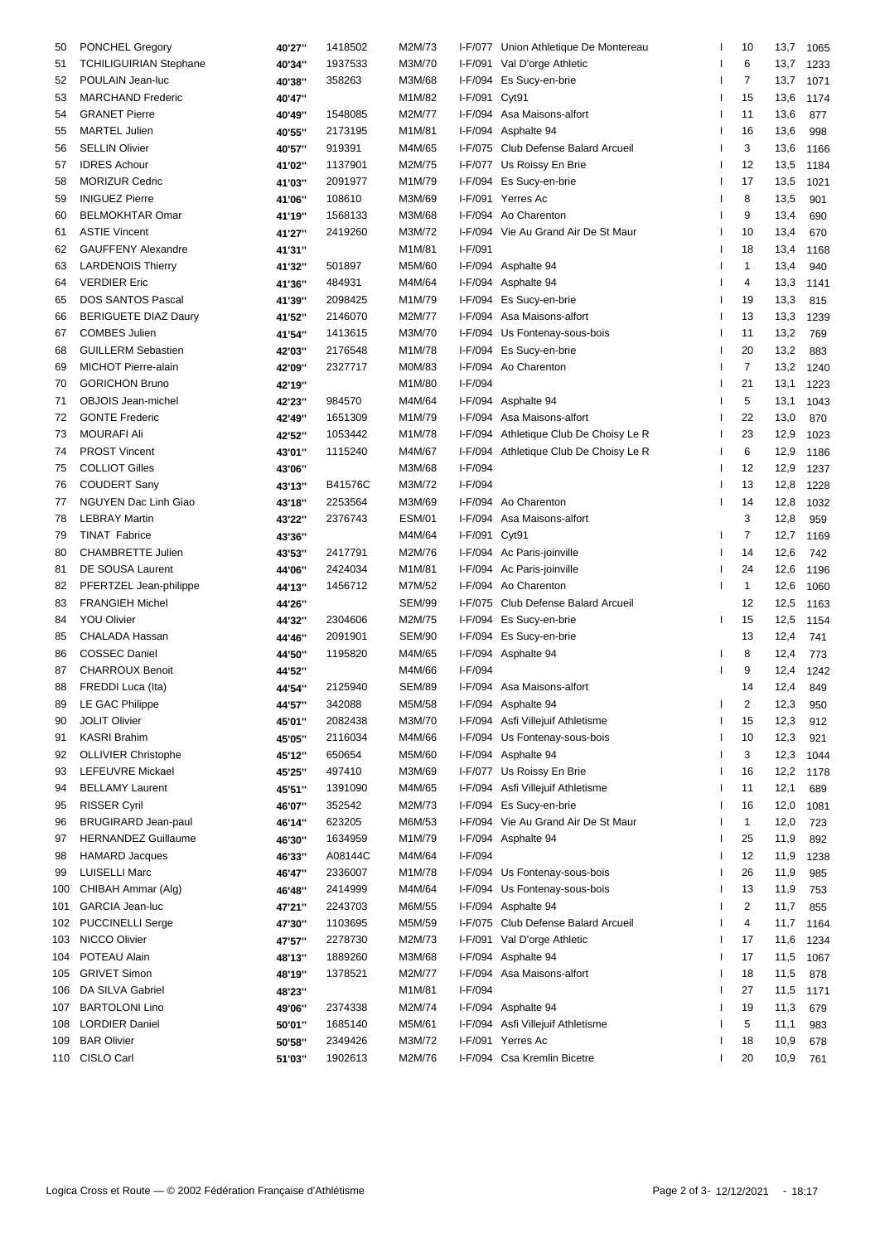| 50  | PONCHEL Gregory             | 40'27"           | 1418502 | M2M/73        |               | I-F/077 Union Athletique De Montereau  |    | 10                      | 13,7 | 1065 |
|-----|-----------------------------|------------------|---------|---------------|---------------|----------------------------------------|----|-------------------------|------|------|
| 51  | TCHILIGUIRIAN Stephane      | 40'34"           | 1937533 | M3M/70        |               | I-F/091 Val D'orge Athletic            |    | 6                       | 13,7 | 1233 |
| 52  | POULAIN Jean-luc            | 40'38"           | 358263  | M3M/68        |               | I-F/094 Es Sucy-en-brie                |    | 7                       | 13,7 | 1071 |
| 53  | <b>MARCHAND Frederic</b>    | 40'47"           |         | M1M/82        | I-F/091 Cyt91 |                                        |    | 15                      | 13,6 | 1174 |
| 54  | <b>GRANET Pierre</b>        | 40'49"           | 1548085 | M2M/77        |               | I-F/094 Asa Maisons-alfort             |    | 11                      | 13,6 | 877  |
| 55  | <b>MARTEL Julien</b>        | 40'55"           | 2173195 | M1M/81        |               | I-F/094 Asphalte 94                    |    | 16                      | 13,6 | 998  |
| 56  | <b>SELLIN Olivier</b>       | 40'57"           | 919391  | M4M/65        |               | I-F/075 Club Defense Balard Arcueil    |    | 3                       | 13,6 | 1166 |
| 57  | <b>IDRES Achour</b>         | 41'02"           | 1137901 | M2M/75        |               | I-F/077 Us Roissy En Brie              |    | 12                      | 13,5 | 1184 |
| 58  | <b>MORIZUR Cedric</b>       | 41'03"           | 2091977 | M1M/79        |               | I-F/094 Es Sucy-en-brie                |    | 17                      | 13,5 | 1021 |
| 59  | <b>INIGUEZ Pierre</b>       | 41'06"           | 108610  | M3M/69        |               | I-F/091 Yerres Ac                      |    | 8                       | 13,5 | 901  |
| 60  | <b>BELMOKHTAR Omar</b>      | 41'19"           | 1568133 | M3M/68        |               | I-F/094 Ao Charenton                   |    | 9                       | 13,4 | 690  |
| 61  | <b>ASTIE Vincent</b>        | 41'27"           | 2419260 | M3M/72        |               | I-F/094 Vie Au Grand Air De St Maur    |    | 10                      | 13,4 | 670  |
| 62  | <b>GAUFFENY Alexandre</b>   | 41'31"           |         | M1M/81        | $I-F/091$     |                                        |    | 18                      | 13,4 | 1168 |
| 63  | <b>LARDENOIS Thierry</b>    | 41'32"           | 501897  | M5M/60        |               | I-F/094 Asphalte 94                    |    | 1                       | 13,4 | 940  |
| 64  | <b>VERDIER Eric</b>         |                  | 484931  | M4M/64        |               | I-F/094 Asphalte 94                    |    | 4                       | 13,3 |      |
|     |                             | 41'36"           |         |               |               |                                        |    |                         |      | 1141 |
| 65  | <b>DOS SANTOS Pascal</b>    | 41'39"           | 2098425 | M1M/79        |               | I-F/094 Es Sucy-en-brie                |    | 19                      | 13,3 | 815  |
| 66  | <b>BERIGUETE DIAZ Daury</b> | 41'52"           | 2146070 | M2M/77        |               | I-F/094 Asa Maisons-alfort             |    | 13                      | 13,3 | 1239 |
| 67  | <b>COMBES Julien</b>        | 41'54"           | 1413615 | M3M/70        |               | I-F/094 Us Fontenay-sous-bois          |    | 11                      | 13,2 | 769  |
| 68  | <b>GUILLERM Sebastien</b>   | 42'03"           | 2176548 | M1M/78        |               | I-F/094 Es Sucy-en-brie                |    | 20                      | 13,2 | 883  |
| 69  | <b>MICHOT Pierre-alain</b>  | 42'09"           | 2327717 | M0M/83        |               | I-F/094 Ao Charenton                   |    | $\overline{7}$          | 13,2 | 1240 |
| 70  | <b>GORICHON Bruno</b>       | 42'19"           |         | M1M/80        | I-F/094       |                                        |    | 21                      | 13,1 | 1223 |
| 71  | <b>OBJOIS Jean-michel</b>   | 42'23"           | 984570  | M4M/64        |               | I-F/094 Asphalte 94                    |    | 5                       | 13,1 | 1043 |
| 72  | <b>GONTE Frederic</b>       | 42'49"           | 1651309 | M1M/79        |               | I-F/094 Asa Maisons-alfort             |    | 22                      | 13,0 | 870  |
| 73  | <b>MOURAFI Ali</b>          | 42'52"           | 1053442 | M1M/78        |               | I-F/094 Athletique Club De Choisy Le R |    | 23                      | 12,9 | 1023 |
| 74  | <b>PROST Vincent</b>        | 43'01"           | 1115240 | M4M/67        |               | I-F/094 Athletique Club De Choisy Le R |    | 6                       | 12,9 | 1186 |
| 75  | <b>COLLIOT Gilles</b>       | 43'06"           |         | M3M/68        | $I-F/094$     |                                        |    | 12                      | 12,9 | 1237 |
| 76  | <b>COUDERT Sany</b>         | 43'13"           | B41576C | M3M/72        | I-F/094       |                                        |    | 13                      | 12,8 | 1228 |
| 77  | NGUYEN Dac Linh Giao        | 43'18"           | 2253564 | M3M/69        |               | I-F/094 Ao Charenton                   |    | 14                      | 12,8 | 1032 |
| 78  | <b>LEBRAY Martin</b>        | 43'22"           | 2376743 | <b>ESM/01</b> | I-F/094       | Asa Maisons-alfort                     |    | 3                       | 12,8 | 959  |
| 79  | <b>TINAT Fabrice</b>        | 43'36"           |         | M4M/64        | I-F/091 Cyt91 |                                        |    | $\overline{7}$          | 12,7 | 1169 |
| 80  | <b>CHAMBRETTE Julien</b>    | 43'53"           | 2417791 | M2M/76        |               | I-F/094 Ac Paris-joinville             |    | 14                      | 12,6 | 742  |
| 81  | DE SOUSA Laurent            | 44'06"           | 2424034 | M1M/81        |               | I-F/094 Ac Paris-joinville             |    | 24                      | 12,6 | 1196 |
| 82  | PFERTZEL Jean-philippe      | 44'13"           | 1456712 | M7M/52        |               | I-F/094 Ao Charenton                   |    | 1                       | 12,6 | 1060 |
| 83  | <b>FRANGIEH Michel</b>      | 44'26"           |         | <b>SEM/99</b> |               | I-F/075 Club Defense Balard Arcueil    |    | 12                      | 12,5 | 1163 |
| 84  | <b>YOU Olivier</b>          | 44'32"           | 2304606 | M2M/75        |               | I-F/094 Es Sucy-en-brie                |    | 15                      | 12,5 | 1154 |
| 85  | CHALADA Hassan              | 44'46"           | 2091901 | <b>SEM/90</b> |               | I-F/094 Es Sucy-en-brie                |    | 13                      | 12,4 | 741  |
| 86  | <b>COSSEC Daniel</b>        | 44'50"           | 1195820 | M4M/65        |               | I-F/094 Asphalte 94                    |    | 8                       | 12,4 | 773  |
| 87  | <b>CHARROUX Benoit</b>      | 44'52"           |         | M4M/66        | I-F/094       |                                        |    | 9                       | 12,4 | 1242 |
| 88  | FREDDI Luca (Ita)           |                  | 2125940 | <b>SEM/89</b> |               | I-F/094 Asa Maisons-alfort             |    | 14                      | 12,4 | 849  |
|     | 89 LE GAC Philippe          | 44'54"<br>44'57" | 342088  | M5M/58        |               | I-F/094 Asphalte 94                    |    | 2                       | 12,3 |      |
|     | <b>JOLIT Olivier</b>        |                  |         |               |               |                                        |    |                         |      | 950  |
| 90  |                             | 45'01"           | 2082438 | M3M/70        |               | I-F/094 Asfi Villejuif Athletisme      |    | 15                      | 12,3 | 912  |
| 91  | <b>KASRI Brahim</b>         | 45'05"           | 2116034 | M4M/66        |               | I-F/094 Us Fontenay-sous-bois          |    | 10                      | 12,3 | 921  |
| 92  | <b>OLLIVIER Christophe</b>  | 45'12"           | 650654  | M5M/60        |               | I-F/094 Asphalte 94                    |    | 3                       | 12,3 | 1044 |
| 93  | LEFEUVRE Mickael            | 45'25"           | 497410  | M3M/69        |               | I-F/077 Us Roissy En Brie              |    | 16                      | 12,2 | 1178 |
| 94  | <b>BELLAMY Laurent</b>      | 45'51"           | 1391090 | M4M/65        |               | I-F/094 Asfi Villejuif Athletisme      |    | 11                      | 12,1 | 689  |
| 95  | <b>RISSER Cyril</b>         | 46'07"           | 352542  | M2M/73        |               | I-F/094 Es Sucy-en-brie                |    | 16                      | 12,0 | 1081 |
| 96  | <b>BRUGIRARD Jean-paul</b>  | 46'14"           | 623205  | M6M/53        |               | I-F/094 Vie Au Grand Air De St Maur    |    | 1                       | 12,0 | 723  |
| 97  | <b>HERNANDEZ Guillaume</b>  | 46'30"           | 1634959 | M1M/79        |               | I-F/094 Asphalte 94                    |    | 25                      | 11,9 | 892  |
| 98  | <b>HAMARD Jacques</b>       | 46'33"           | A08144C | M4M/64        | $I-F/094$     |                                        |    | 12                      | 11,9 | 1238 |
| 99  | <b>LUISELLI Marc</b>        | 46'47"           | 2336007 | M1M/78        |               | I-F/094 Us Fontenay-sous-bois          |    | 26                      | 11,9 | 985  |
| 100 | CHIBAH Ammar (Alg)          | 46'48"           | 2414999 | M4M/64        |               | I-F/094 Us Fontenay-sous-bois          |    | 13                      | 11,9 | 753  |
| 101 | <b>GARCIA Jean-luc</b>      | 47'21"           | 2243703 | M6M/55        |               | I-F/094 Asphalte 94                    |    | $\overline{\mathbf{c}}$ | 11,7 | 855  |
| 102 | <b>PUCCINELLI Serge</b>     | 47'30"           | 1103695 | M5M/59        |               | I-F/075 Club Defense Balard Arcueil    |    | 4                       | 11,7 | 1164 |
| 103 | NICCO Olivier               | 47'57"           | 2278730 | M2M/73        |               | I-F/091 Val D'orge Athletic            |    | 17                      | 11,6 | 1234 |
| 104 | POTEAU Alain                | 48'13"           | 1889260 | M3M/68        |               | I-F/094 Asphalte 94                    |    | 17                      | 11,5 | 1067 |
| 105 | <b>GRIVET Simon</b>         | 48'19"           | 1378521 | M2M/77        |               | I-F/094 Asa Maisons-alfort             |    | 18                      | 11,5 | 878  |
| 106 | DA SILVA Gabriel            | 48'23"           |         | M1M/81        | $I-F/094$     |                                        |    | 27                      | 11,5 | 1171 |
| 107 | <b>BARTOLONI Lino</b>       | 49'06"           | 2374338 | M2M/74        |               | I-F/094 Asphalte 94                    |    | 19                      | 11,3 | 679  |
| 108 | <b>LORDIER Daniel</b>       | 50'01"           | 1685140 | M5M/61        |               | I-F/094 Asfi Villejuif Athletisme      |    | 5                       | 11,1 | 983  |
| 109 | <b>BAR Olivier</b>          | 50'58"           | 2349426 | M3M/72        |               | I-F/091 Yerres Ac                      |    | 18                      | 10,9 | 678  |
| 110 | CISLO Carl                  | 51'03"           | 1902613 | M2M/76        |               | I-F/094 Csa Kremlin Bicetre            | I. | 20                      | 10,9 | 761  |
|     |                             |                  |         |               |               |                                        |    |                         |      |      |